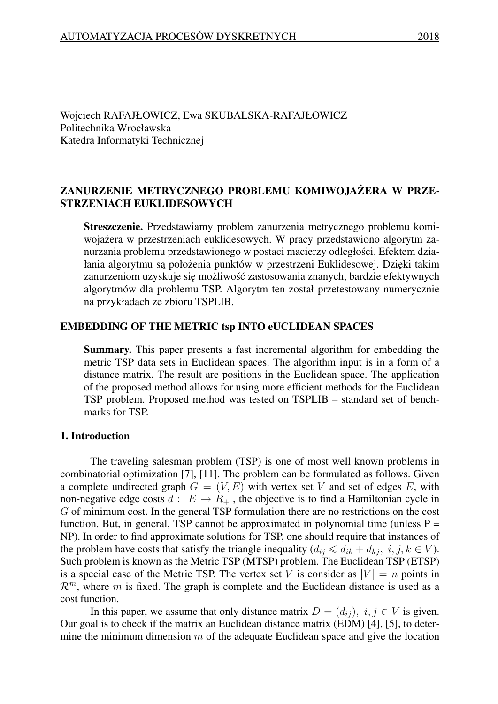Wojciech RAFAJŁOWICZ, Ewa SKUBALSKA-RAFAJŁOWICZ Politechnika Wrocławska Katedra Informatyki Technicznej

# ZANURZENIE METRYCZNEGO PROBLEMU KOMIWOJAŻERA W PRZE-STRZENIACH EUKLIDESOWYCH

Streszczenie. Przedstawiamy problem zanurzenia metrycznego problemu komiwojażera w przestrzeniach euklidesowych. W pracy przedstawiono algorytm zanurzania problemu przedstawionego w postaci macierzy odległosci. Efektem dzia- ´ łania algorytmu są położenia punktów w przestrzeni Euklidesowej. Dzięki takim zanurzeniom uzyskuje się możliwość zastosowania znanych, bardzie efektywnych algorytmów dla problemu TSP. Algorytm ten został przetestowany numerycznie na przykładach ze zbioru TSPLIB.

### EMBEDDING OF THE METRIC tsp INTO eUCLIDEAN SPACES

Summary. This paper presents a fast incremental algorithm for embedding the metric TSP data sets in Euclidean spaces. The algorithm input is in a form of a distance matrix. The result are positions in the Euclidean space. The application of the proposed method allows for using more efficient methods for the Euclidean TSP problem. Proposed method was tested on TSPLIB – standard set of benchmarks for TSP.

### 1. Introduction

The traveling salesman problem (TSP) is one of most well known problems in combinatorial optimization [7], [11]. The problem can be formulated as follows. Given a complete undirected graph  $G = (V, E)$  with vertex set V and set of edges E, with non-negative edge costs  $d: E \to R_+$ , the objective is to find a Hamiltonian cycle in *G* of minimum cost. In the general TSP formulation there are no restrictions on the cost function. But, in general, TSP cannot be approximated in polynomial time (unless  $P =$ NP). In order to find approximate solutions for TSP, one should require that instances of the problem have costs that satisfy the triangle inequality  $(d_{ij} \leq d_{ik} + d_{kj}, i, j, k \in V)$ . Such problem is known as the Metric TSP (MTSP) problem. The Euclidean TSP (ETSP) is a special case of the Metric TSP. The vertex set *V* is consider as  $|V| = n$  points in  $\mathcal{R}^m$ , where *m* is fixed. The graph is complete and the Euclidean distance is used as a cost function.

In this paper, we assume that only distance matrix  $D = (d_{ij})$ ,  $i, j \in V$  is given. Our goal is to check if the matrix an Euclidean distance matrix (EDM) [4], [5], to determine the minimum dimension *m* of the adequate Euclidean space and give the location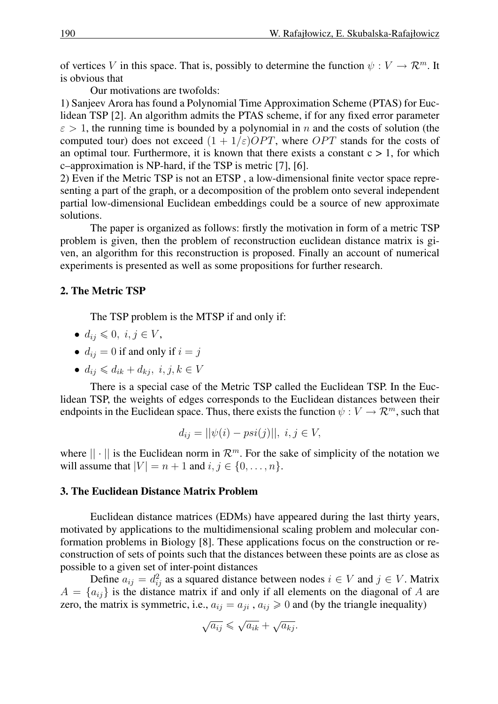of vertices *V* in this space. That is, possibly to determine the function  $\psi : V \to \mathbb{R}^m$ . It is obvious that

Our motivations are twofolds:

1) Sanjeev Arora has found a Polynomial Time Approximation Scheme (PTAS) for Euclidean TSP [2]. An algorithm admits the PTAS scheme, if for any fixed error parameter  $\epsilon$  > 1, the running time is bounded by a polynomial in *n* and the costs of solution (the computed tour) does not exceed  $(1 + 1/\varepsilon)OPT$ , where *OPT* stands for the costs of an optimal tour. Furthermore, it is known that there exists a constant  $c > 1$ , for which c–approximation is NP-hard, if the TSP is metric [7], [6].

2) Even if the Metric TSP is not an ETSP , a low-dimensional finite vector space representing a part of the graph, or a decomposition of the problem onto several independent partial low-dimensional Euclidean embeddings could be a source of new approximate solutions.

The paper is organized as follows: firstly the motivation in form of a metric TSP problem is given, then the problem of reconstruction euclidean distance matrix is given, an algorithm for this reconstruction is proposed. Finally an account of numerical experiments is presented as well as some propositions for further research.

## 2. The Metric TSP

The TSP problem is the MTSP if and only if:

- $\bullet$  *d*<sub>*ij*</sub> ≤ 0*, i, j* ∈ *V*,
- $d_{ij} = 0$  if and only if  $i = j$
- *•*  $d_{ij}$  ≤  $d_{ik}$  +  $d_{ki}$ ,  $i, j, k \in V$

There is a special case of the Metric TSP called the Euclidean TSP. In the Euclidean TSP, the weights of edges corresponds to the Euclidean distances between their endpoints in the Euclidean space. Thus, there exists the function  $\psi : V \to \mathcal{R}^m$ , such that

$$
d_{ij} = ||\psi(i) - psi(j)||, i, j \in V,
$$

where  $|| \cdot ||$  is the Euclidean norm in  $\mathcal{R}^m$ . For the sake of simplicity of the notation we will assume that  $|V| = n + 1$  and  $i, j \in \{0, ..., n\}$ .

### 3. The Euclidean Distance Matrix Problem

Euclidean distance matrices (EDMs) have appeared during the last thirty years, motivated by applications to the multidimensional scaling problem and molecular conformation problems in Biology [8]. These applications focus on the construction or reconstruction of sets of points such that the distances between these points are as close as possible to a given set of inter-point distances

Define  $a_{ij} = d_{ij}^2$  as a squared distance between nodes  $i \in V$  and  $j \in V$ . Matrix  $A = \{a_{ij}\}\$ is the distance matrix if and only if all elements on the diagonal of *A* are zero, the matrix is symmetric, i.e.,  $a_{ij} = a_{ji}$ ,  $a_{ij} \ge 0$  and (by the triangle inequality)

$$
\sqrt{a_{ij}} \leqslant \sqrt{a_{ik}} + \sqrt{a_{kj}}.
$$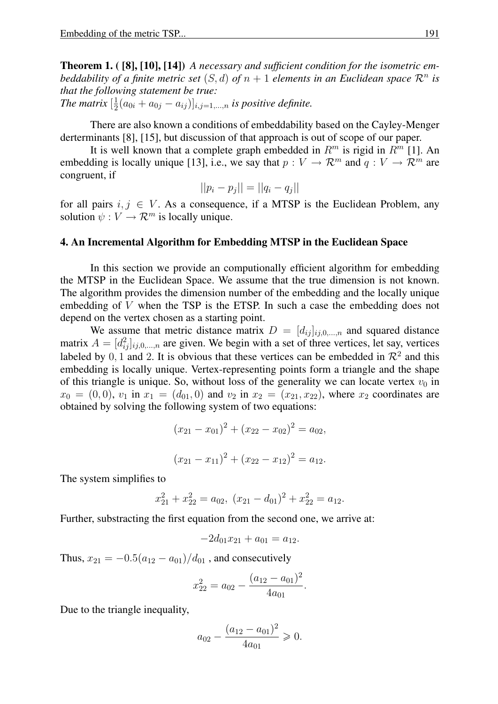Theorem 1. ( [8], [10], [14]) *A necessary and sufficient condition for the isometric embeddability of a finite metric set*  $(S, d)$  *of*  $n + 1$  *elements in an Euclidean space*  $\mathcal{R}^n$  *is that the following statement be true:*

*The matrix*  $\left[\frac{1}{2}\right]$  $\frac{1}{2}(a_{0i} + a_{0j} - a_{ij})|_{i,j=1,...,n}$  *is positive definite.* 

There are also known a conditions of embeddability based on the Cayley-Menger derterminants [8], [15], but discussion of that approach is out of scope of our paper.

It is well known that a complete graph embedded in  $R^m$  is rigid in  $R^m$  [1]. An embedding is locally unique [13], i.e., we say that  $p: V \to \mathcal{R}^m$  and  $q: V \to \mathcal{R}^m$  are congruent, if

$$
||p_i - p_j|| = ||q_i - q_j||
$$

for all pairs  $i, j \in V$ . As a consequence, if a MTSP is the Euclidean Problem, any solution  $\psi: V \to \mathcal{R}^m$  is locally unique.

#### 4. An Incremental Algorithm for Embedding MTSP in the Euclidean Space

In this section we provide an computionally efficient algorithm for embedding the MTSP in the Euclidean Space. We assume that the true dimension is not known. The algorithm provides the dimension number of the embedding and the locally unique embedding of *V* when the TSP is the ETSP. In such a case the embedding does not depend on the vertex chosen as a starting point.

We assume that metric distance matrix  $D = [d_{ij}]_{ij,0,...,n}$  and squared distance matrix  $A = [d_{ij}^2]_{ij,0,\dots,n}$  are given. We begin with a set of three vertices, let say, vertices labeled by  $0, 1$  and 2. It is obvious that these vertices can be embedded in  $\mathcal{R}^2$  and this embedding is locally unique. Vertex-representing points form a triangle and the shape of this triangle is unique. So, without loss of the generality we can locate vertex  $v_0$  in  $x_0 = (0, 0)$ ,  $v_1$  in  $x_1 = (d_{01}, 0)$  and  $v_2$  in  $x_2 = (x_{21}, x_{22})$ , where  $x_2$  coordinates are obtained by solving the following system of two equations:

$$
(x_{21} - x_{01})^2 + (x_{22} - x_{02})^2 = a_{02},
$$
  

$$
(x_{21} - x_{11})^2 + (x_{22} - x_{12})^2 = a_{12}.
$$

The system simplifies to

$$
x_{21}^2 + x_{22}^2 = a_{02}, (x_{21} - d_{01})^2 + x_{22}^2 = a_{12}.
$$

Further, substracting the first equation from the second one, we arrive at:

$$
-2d_{01}x_{21} + a_{01} = a_{12}.
$$

Thus,  $x_{21} = -0.5(a_{12} - a_{01})/d_{01}$ , and consecutively

$$
x_{22}^2 = a_{02} - \frac{(a_{12} - a_{01})^2}{4a_{01}}
$$

*.*

Due to the triangle inequality,

$$
a_{02} - \frac{(a_{12} - a_{01})^2}{4a_{01}} \geqslant 0.
$$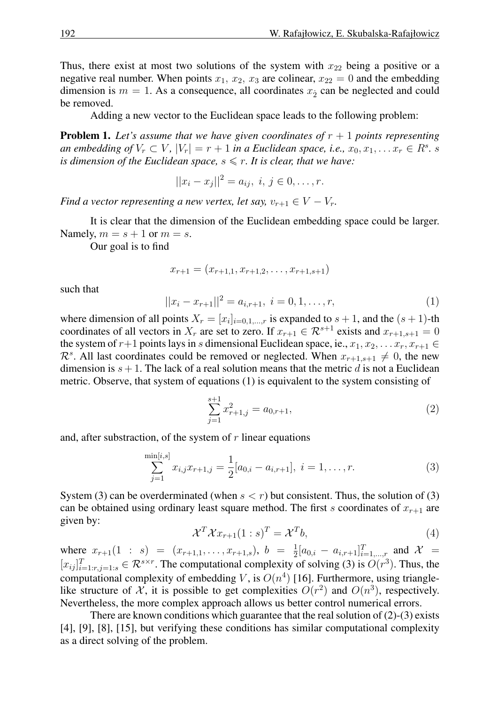Thus, there exist at most two solutions of the system with  $x_{22}$  being a positive or a negative real number. When points  $x_1, x_2, x_3$  are colinear,  $x_{22} = 0$  and the embedding dimension is  $m = 1$ . As a consequence, all coordinates  $x_2$  can be neglected and could be removed.

Adding a new vector to the Euclidean space leads to the following problem:

**Problem 1.** Let's assume that we have given coordinates of  $r + 1$  points representing an embedding of  $V_r \subset V$ ,  $|V_r| = r + 1$  in a Euclidean space, i.e.,  $x_0, x_1, \ldots x_r \in R^s$ . s *is dimension of the Euclidean space,*  $s \leq r$ *. It is clear, that we have:* 

$$
||x_i - x_j||^2 = a_{ij}, \ i, j \in 0, \dots, r.
$$

*Find a vector representing a new vertex, let say,*  $v_{r+1} \in V - V_r$ .

It is clear that the dimension of the Euclidean embedding space could be larger. Namely,  $m = s + 1$  or  $m = s$ .

Our goal is to find

$$
x_{r+1} = (x_{r+1,1}, x_{r+1,2}, \ldots, x_{r+1,s+1})
$$

such that

$$
||x_i - x_{r+1}||^2 = a_{i,r+1}, \ i = 0, 1, \dots, r,
$$
\n(1)

where dimension of all points  $X_r = [x_i]_{i=0,1,\dots,r}$  is expanded to  $s + 1$ , and the  $(s + 1)$ -th coordinates of all vectors in  $X_r$  are set to zero. If  $x_{r+1} \in \mathbb{R}^{s+1}$  exists and  $x_{r+1,s+1} = 0$ the system of  $r+1$  points lays in *s* dimensional Euclidean space, ie.,  $x_1, x_2, \ldots x_r, x_{r+1} \in$  $\mathcal{R}^s$ . All last coordinates could be removed or neglected. When  $x_{r+1,s+1} \neq 0$ , the new dimension is  $s + 1$ . The lack of a real solution means that the metric  $d$  is not a Euclidean metric. Observe, that system of equations (1) is equivalent to the system consisting of

$$
\sum_{j=1}^{s+1} x_{r+1,j}^2 = a_{0,r+1},\tag{2}
$$

and, after substraction, of the system of *r* linear equations

$$
\sum_{j=1}^{\min[i,s]} x_{i,j} x_{r+1,j} = \frac{1}{2} [a_{0,i} - a_{i,r+1}], \ i = 1, \dots, r.
$$
 (3)

System (3) can be overderminated (when  $s < r$ ) but consistent. Thus, the solution of (3) can be obtained using ordinary least square method. The first *s* coordinates of  $x_{r+1}$  are given by:

$$
\mathcal{X}^T \mathcal{X} x_{r+1} (1:s)^T = \mathcal{X}^T b,\tag{4}
$$

where  $x_{r+1}(1 : s) = (x_{r+1,1}, \ldots, x_{r+1,s}), b = \frac{1}{2}$  $\frac{1}{2}[a_{0,i} - a_{i,r+1}]_{i=1,...,r}^T$  and  $\mathcal{X} =$  $[x_{ij}]_{i=1:r,j=1:s}^T \in \mathcal{R}^{s \times r}$ . The computational complexity of solving (3) is  $O(r^3)$ . Thus, the computational complexity of embedding  $V$ , is  $O(n^4)$  [16]. Furthermore, using trianglelike structure of  $\mathcal{X}$ , it is possible to get complexities  $O(r^2)$  and  $O(n^3)$ , respectively. Nevertheless, the more complex approach allows us better control numerical errors.

There are known conditions which guarantee that the real solution of (2)-(3) exists [4], [9], [8], [15], but verifying these conditions has similar computational complexity as a direct solving of the problem.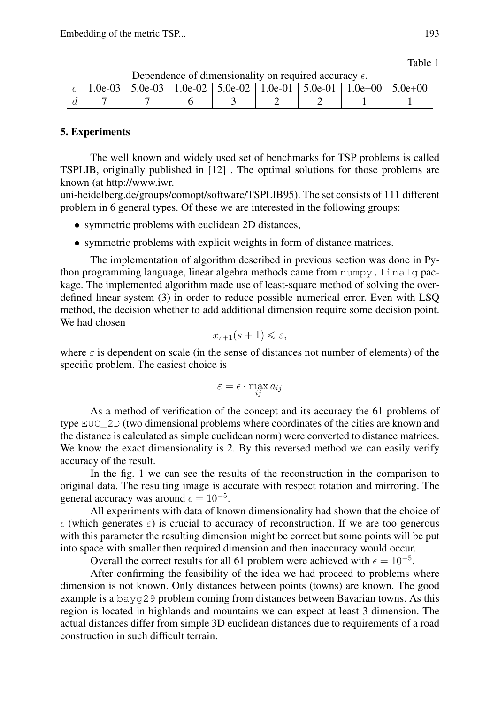$\epsilon$  | 1.0e-03 | 5.0e-03 | 1.0e-02 | 5.0e-02 | 1.0e-01 | 5.0e-01 | 1.0e+00 | 5.0e+00 *d* | 7 | 7 | 6 | 3 | 2 | 2 | 1 | 1

Dependence of dimensionality on required accuracy  $\epsilon$ .

# 5. Experiments

The well known and widely used set of benchmarks for TSP problems is called TSPLIB, originally published in [12] . The optimal solutions for those problems are known (at http://www.iwr.

uni-heidelberg.de/groups/comopt/software/TSPLIB95). The set consists of 111 different problem in 6 general types. Of these we are interested in the following groups:

- symmetric problems with euclidean 2D distances,
- symmetric problems with explicit weights in form of distance matrices.

The implementation of algorithm described in previous section was done in Python programming language, linear algebra methods came from numpy.linalg package. The implemented algorithm made use of least-square method of solving the overdefined linear system (3) in order to reduce possible numerical error. Even with LSQ method, the decision whether to add additional dimension require some decision point. We had chosen

$$
x_{r+1}(s+1) \leqslant \varepsilon,
$$

where  $\varepsilon$  is dependent on scale (in the sense of distances not number of elements) of the specific problem. The easiest choice is

$$
\varepsilon = \epsilon \cdot \max_{ij} a_{ij}
$$

As a method of verification of the concept and its accuracy the 61 problems of type EUC\_2D (two dimensional problems where coordinates of the cities are known and the distance is calculated as simple euclidean norm) were converted to distance matrices. We know the exact dimensionality is 2. By this reversed method we can easily verify accuracy of the result.

In the fig. 1 we can see the results of the reconstruction in the comparison to original data. The resulting image is accurate with respect rotation and mirroring. The general accuracy was around  $\epsilon = 10^{-5}$ .

All experiments with data of known dimensionality had shown that the choice of  $\epsilon$  (which generates  $\epsilon$ ) is crucial to accuracy of reconstruction. If we are too generous with this parameter the resulting dimension might be correct but some points will be put into space with smaller then required dimension and then inaccuracy would occur.

Overall the correct results for all 61 problem were achieved with  $\epsilon = 10^{-5}$ .

After confirming the feasibility of the idea we had proceed to problems where dimension is not known. Only distances between points (towns) are known. The good example is a bayg29 problem coming from distances between Bavarian towns. As this region is located in highlands and mountains we can expect at least 3 dimension. The actual distances differ from simple 3D euclidean distances due to requirements of a road construction in such difficult terrain.

Table 1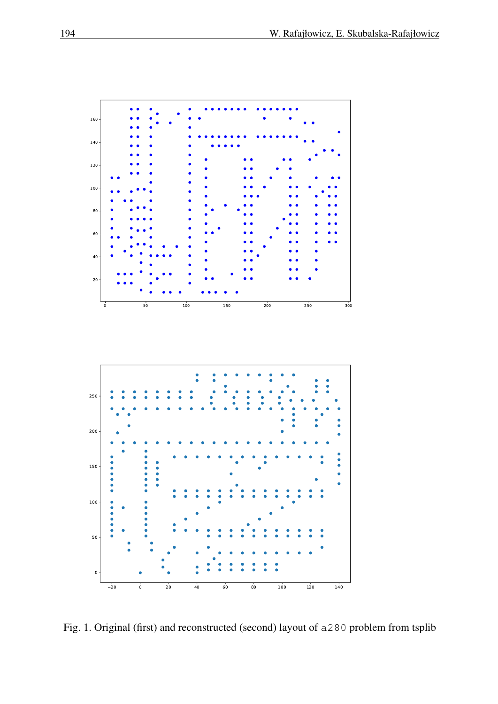

Fig. 1. Original (first) and reconstructed (second) layout of a280 problem from tsplib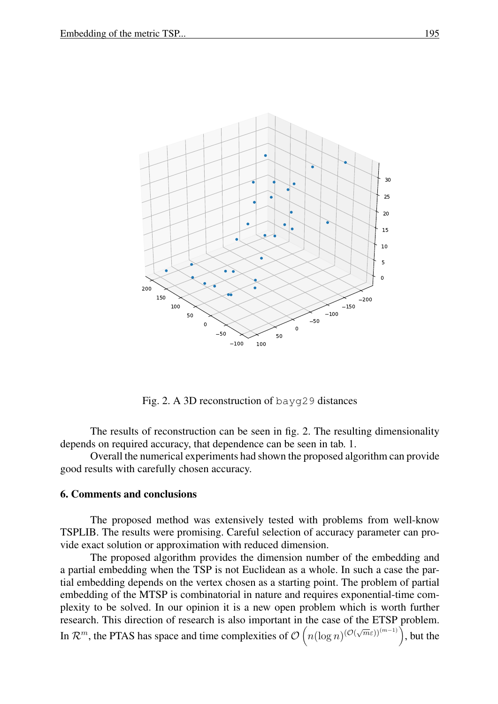

Fig. 2. A 3D reconstruction of bayg29 distances

The results of reconstruction can be seen in fig. 2. The resulting dimensionality depends on required accuracy, that dependence can be seen in tab. 1.

Overall the numerical experiments had shown the proposed algorithm can provide good results with carefully chosen accuracy.

#### 6. Comments and conclusions

The proposed method was extensively tested with problems from well-know TSPLIB. The results were promising. Careful selection of accuracy parameter can provide exact solution or approximation with reduced dimension.

The proposed algorithm provides the dimension number of the embedding and a partial embedding when the TSP is not Euclidean as a whole. In such a case the partial embedding depends on the vertex chosen as a starting point. The problem of partial embedding of the MTSP is combinatorial in nature and requires exponential-time complexity to be solved. In our opinion it is a new open problem which is worth further research. This direction of research is also important in the case of the ETSP problem. In  $\mathcal{R}^m$ , the PTAS has space and time complexities of  $\mathcal{O}\left(n(\log n)^{(\mathcal{O}(\sqrt{m}\varepsilon))^{(m-1)}}\right)$ , but the